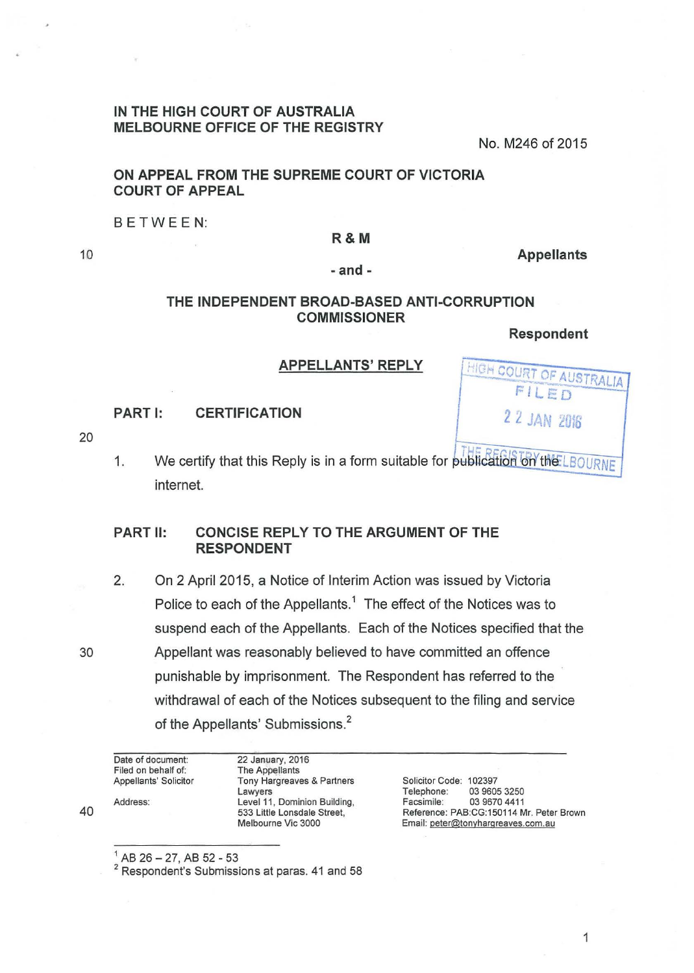## **IN THE HIGH COURT OF AUSTRALIA MELBOURNE OFFICE OF THE REGISTRY**

No. M246 of 2015

## **ON APPEAL FROM THE SUPREME COURT OF VICTORIA COURT OF APPEAL**

BETWEEN:

#### **R&M**

10

#### **-and-**

# **THE INDEPENDENT BROAD-BASED ANTI-CORRUPTION COMMISSIONER**

**Respondent** 

HIGH COURT OF AUSTRALIA FILED

*2 2* JAN *<sup>2016</sup>*

**Appellants** 

### **APPELLANTS' REPLY**

**PART** I: **CERTIFICATION** 

20

1. We certify that this Reply is in a form suitable for publication on the LBOURNE internet.

# **PART 11: CONCISE REPLY TO THE ARGUMENT OF THE RESPONDENT**

2. On 2 April 2015, a Notice of Interim Action was issued by Victoria Police to each of the Appellants.<sup>1</sup> The effect of the Notices was to suspend each of the Appellants. Each of the Notices specified that the 30 Appellant was reasonably believed to have committed an offence punishable by imprisonment. The Respondent has referred to the withdrawal of each of the Notices subsequent to the filing and service of the Appellants' Submissions.<sup>2</sup>

| Date of document:     | 22 January, 2016             |                                          |              |
|-----------------------|------------------------------|------------------------------------------|--------------|
| Filed on behalf of:   | The Appellants               |                                          |              |
| Appellants' Solicitor | Tony Hargreaves & Partners   | Solicitor Code: 102397                   |              |
|                       | Lawyers                      | Telephone:                               | 03 9605 3250 |
| Address:              | Level 11, Dominion Building, | Facsimile:                               | 03 9670 4411 |
|                       | 533 Little Lonsdale Street,  | Reference: PAB:CG:150114 Mr. Peter Brown |              |
|                       | Melbourne Vic 3000           | Email: peter@tonyhargreaves.com.au       |              |

 $^{1}$  AB 26 - 27, AB 52 - 53

<sup>2</sup> Respondent's Submissions at paras. 41 and 58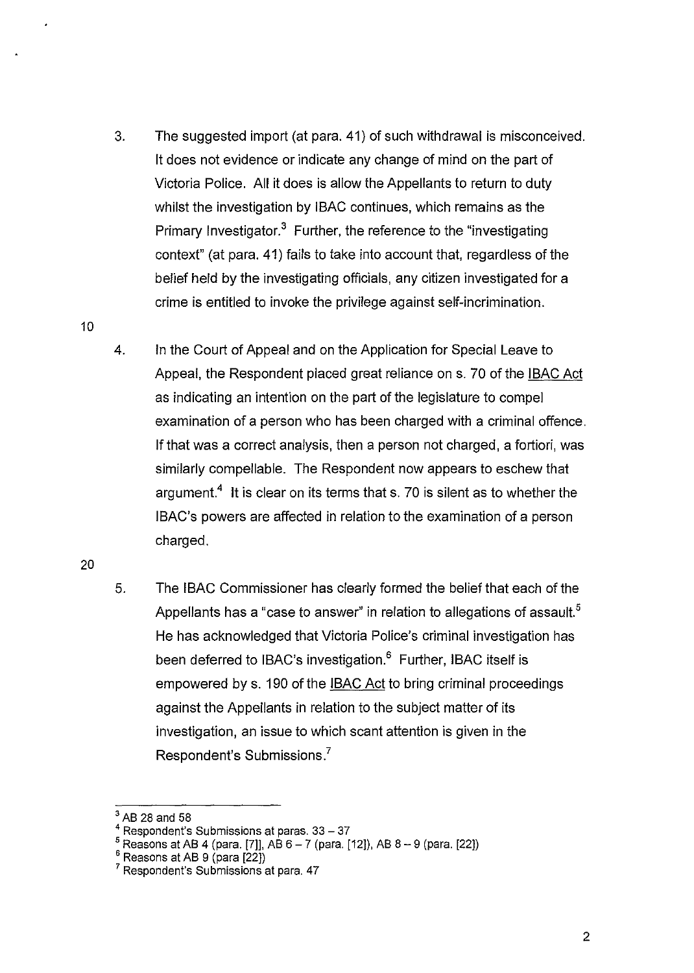- 3. The suggested import (at para. 41) of such withdrawal is misconceived. lt does not evidence or indicate any change of mind on the part of Victoria Police. All it does is allow the Appellants to return to duty whilst the investigation by IBAC continues, which remains as the Primary Investigator.<sup>3</sup> Further, the reference to the "investigating context" (at para. 41) fails to take into account that, regardless of the belief held by the investigating officials, any citizen investigated for a crime is entitled to invoke the privilege against self-incrimination.
- 4. In the Court of Appeal and on the Application for Special Leave to Appeal, the Respondent placed great reliance on s. 70 of the IBAC Act as indicating an intention on the part of the legislature to compel examination of a person who has been charged with a criminal offence. If that was a correct analysis, then a person not charged, a fortiori, was similarly compellable. The Respondent now appears to eschew that argument.<sup>4</sup> It is clear on its terms that s. 70 is silent as to whether the IBAC's powers are affected in relation to the examination of a person charged.

20

10

5. The IBAC Commissioner has clearly formed the belief that each of the Appellants has a "case to answer" in relation to allegations of assault.<sup>5</sup> He has acknowledged that Victoria Police's criminal investigation has been deferred to IBAC's investigation.<sup>6</sup> Further, IBAC itself is empowered by s. 190 of the IBAC Act to bring criminal proceedings against the Appellants in relation to the subject matter of its investigation, an issue to which scant attention is given in the Respondent's Submissions.<sup>7</sup>

 $<sup>3</sup>$  AB 28 and 58</sup>

 $4$  Respondent's Submissions at paras. 33 - 37

<sup>5</sup>Reasons at AB 4 (para. [7]], AB 6-7 (para. [12]), AB 8-9 (para. [22])

 $^6$  Reasons at AB 9 (para [22])

<sup>7</sup>Respondent's Submissions at para. 47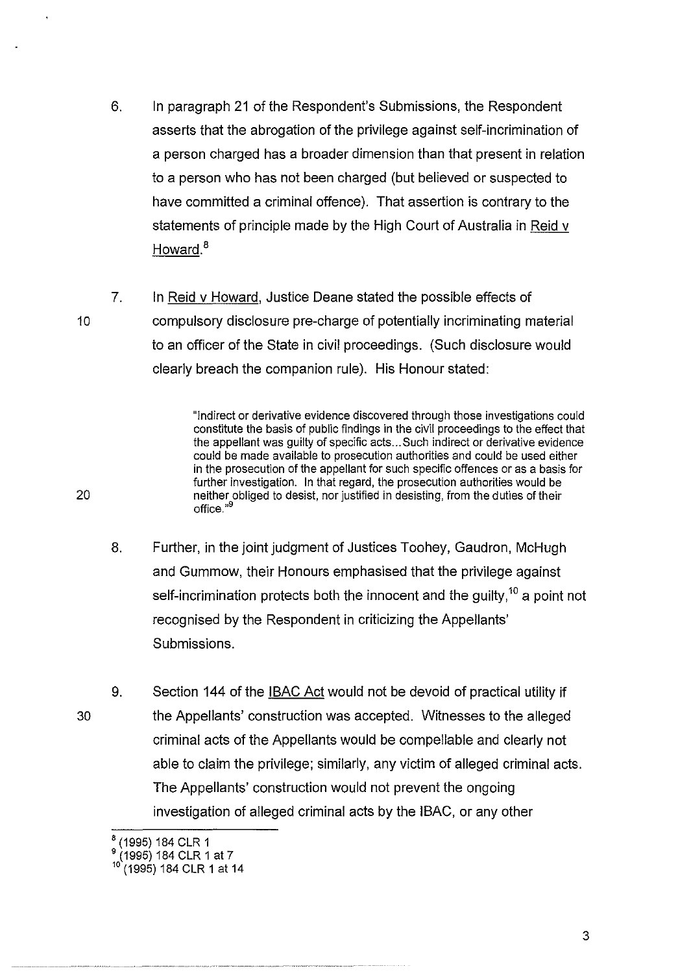- 6. In paragraph 21 of the Respondent's Submissions, the Respondent asserts that the abrogation of the privilege against self-incrimination of a person charged has a broader dimension than that present in relation to a person who has not been charged (but believed or suspected to have committed a criminal offence). That assertion is contrary to the statements of principle made by the High Court of Australia in Reid v Howard.<sup>8</sup>
- 10 7. In Reid v Howard, Justice Deane stated the possible effects of compulsory disclosure pre-charge of potentially incriminating material to an officer of the State in civil proceedings. (Such disclosure would clearly breach the companion rule). His Honour stated:

"Indirect or derivative evidence discovered through those investigations could constitute the basis of public findings in the civil proceedings to the effect that the appellant was guilty of specific acts ... Such indirect or derivative evidence could be made available to prosecution authorities and could be used either in the prosecution of the appellant for such specific offences or as a basis for further investigation. In that regard, the prosecution authorities would be neither obliged to desist, nor justified in desisting, from the duties of their office."<sup>9</sup>

- 8. Further, in the joint judgment of Justices Toohey, Gaudron, McHugh and Gummow, their Honours emphasised that the privilege against self-incrimination protects both the innocent and the guilty,<sup>10</sup> a point not recognised by the Respondent in criticizing the Appellants' Submissions.
- 30 9. Section 144 of the **IBAC Act** would not be devoid of practical utility if the Appellants' construction was accepted. Witnesses to the alleged criminal acts of the Appellants would be compellable and clearly not able to claim the privilege; similarly, any victim of alleged criminal acts. The Appellants' construction would not prevent the ongoing investigation of alleged criminal acts by the IBAC, or any other

20

3

<sup>&</sup>lt;sup>8</sup> (1995) 184 CLR 1

 $^9$  (1995) 184 CLR 1 at 7

<sup>10</sup>(1995) 184 CLR 1 at 14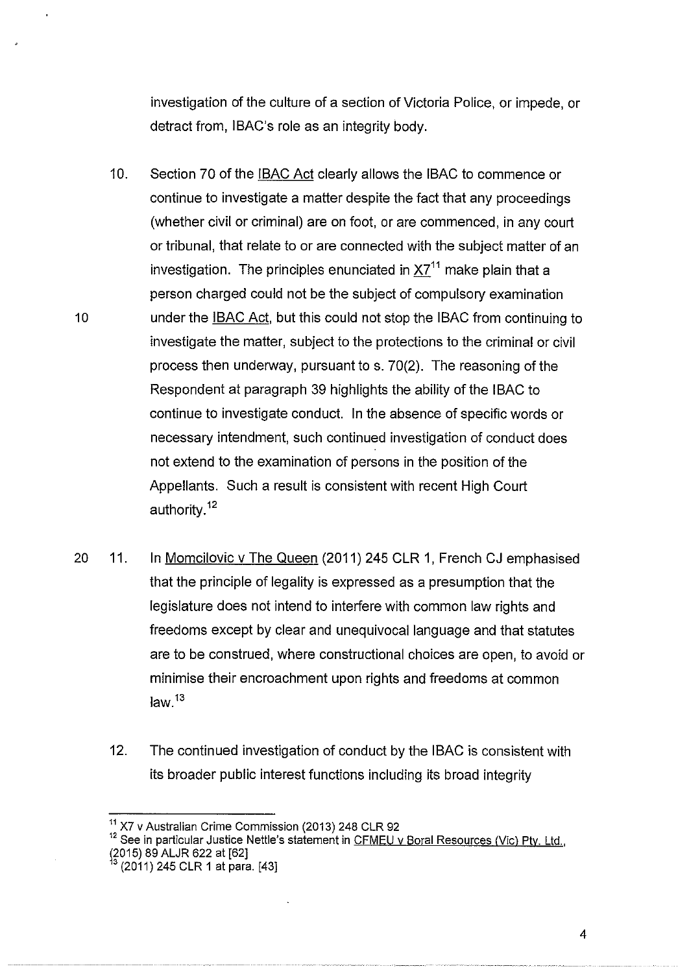investigation of the culture of a section of Victoria Police, or impede, or detract from, IBAC's role as an integrity body.

10. Section 70 of the IBAC Act clearly allows the IBAC to commence or continue to investigate a matter despite the fact that any proceedings (whether civil or criminal) are on foot, or are commenced, in any court or tribunal, that relate to or are connected with the subject matter of an investigation. The principles enunciated in  $X7<sup>11</sup>$  make plain that a person charged could not be the subject of compulsory examination 10 **under the IBAC Act, but this could not stop the IBAC from continuing to** investigate the matter, subject to the protections to the criminal or civil process then underway, pursuant to s. 70(2). The reasoning of the Respondent at paragraph 39 highlights the ability of the IBAC to continue to investigate conduct. In the absence of specific words or necessary intendment, such continued investigation of conduct does not extend to the examination of persons in the position of the Appellants. Such a result is consistent with recent High Court authority.<sup>12</sup>

- 20 11. In Momcilovic v The Queen (2011) 245 CLR 1, French CJ emphasised that the principle of legality is expressed as a presumption that the legislature does not intend to interfere with common law rights and freedoms except by clear and unequivocal language and that statutes are to be construed, where constructional choices are open, to avoid or minimise their encroachment upon rights and freedoms at common  $law.<sup>13</sup>$ 
	- 12. The continued investigation of conduct by the IBAC is consistent with its broader public interest functions including its broad integrity

<sup>12</sup> See in particular Justice Nettle's statement in CFMEU v Boral Resources (Vic) Pty. Ltd., (2015) 89 ALJR 622 at [62]<br><sup>13</sup> (2011) 245 CLR 1 at para. [43]

 $^{11}$  X7 v Australian Crime Commission (2013) 248 CLR 92